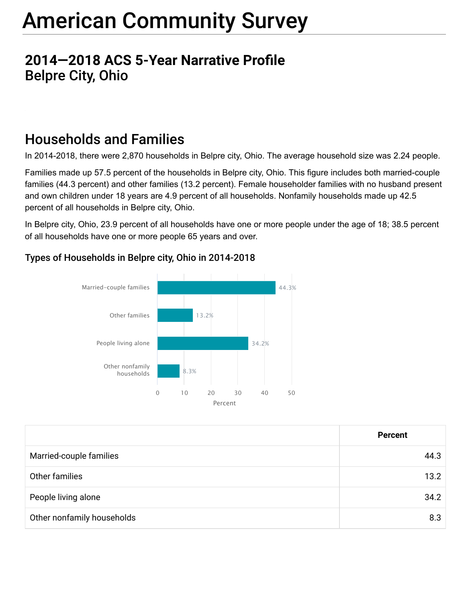## **2014–2018 ACS 5-Year Narrative Profile** Belpre City, Ohio

## Households and Families

In 2014-2018, there were 2,870 households in Belpre city, Ohio. The average household size was 2.24 people.

Families made up 57.5 percent of the households in Belpre city, Ohio. This figure includes both married-couple families (44.3 percent) and other families (13.2 percent). Female householder families with no husband present and own children under 18 years are 4.9 percent of all households. Nonfamily households made up 42.5 percent of all households in Belpre city, Ohio.

In Belpre city, Ohio, 23.9 percent of all households have one or more people under the age of 18; 38.5 percent of all households have one or more people 65 years and over.

#### Types of Households in Belpre city, Ohio in 2014-2018



|                            | <b>Percent</b> |
|----------------------------|----------------|
| Married-couple families    | 44.3           |
| Other families             | 13.2           |
| People living alone        | 34.2           |
| Other nonfamily households | 8.3            |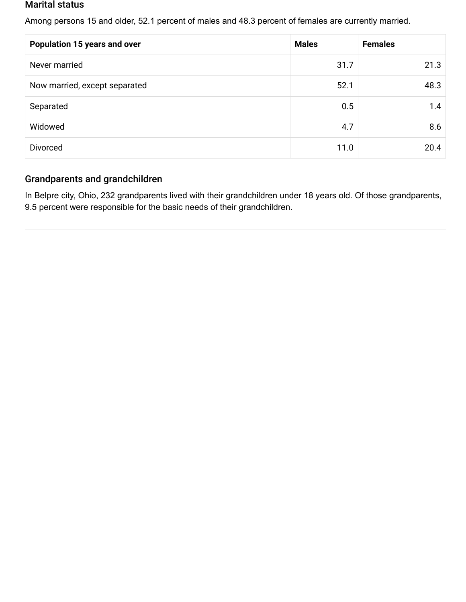#### Marital status

Among persons 15 and older, 52.1 percent of males and 48.3 percent of females are currently married.

| <b>Population 15 years and over</b> | <b>Males</b> | <b>Females</b> |
|-------------------------------------|--------------|----------------|
| Never married                       | 31.7         | 21.3           |
| Now married, except separated       | 52.1         | 48.3           |
| Separated                           | 0.5          | 1.4            |
| Widowed                             | 4.7          | 8.6            |
| <b>Divorced</b>                     | 11.0         | 20.4           |

#### Grandparents and grandchildren

In Belpre city, Ohio, 232 grandparents lived with their grandchildren under 18 years old. Of those grandparents, 9.5 percent were responsible for the basic needs of their grandchildren.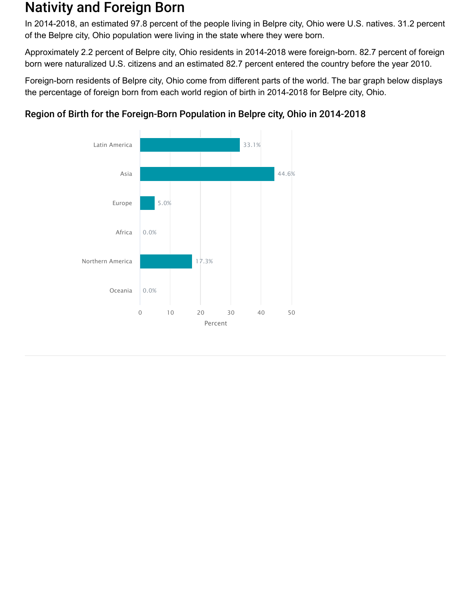## Nativity and Foreign Born

In 2014-2018, an estimated 97.8 percent of the people living in Belpre city, Ohio were U.S. natives. 31.2 percent of the Belpre city, Ohio population were living in the state where they were born.

Approximately 2.2 percent of Belpre city, Ohio residents in 2014-2018 were foreign-born. 82.7 percent of foreign born were naturalized U.S. citizens and an estimated 82.7 percent entered the country before the year 2010.

Foreign-born residents of Belpre city, Ohio come from different parts of the world. The bar graph below displays the percentage of foreign born from each world region of birth in 2014-2018 for Belpre city, Ohio.



#### Region of Birth for the Foreign-Born Population in Belpre city, Ohio in 2014-2018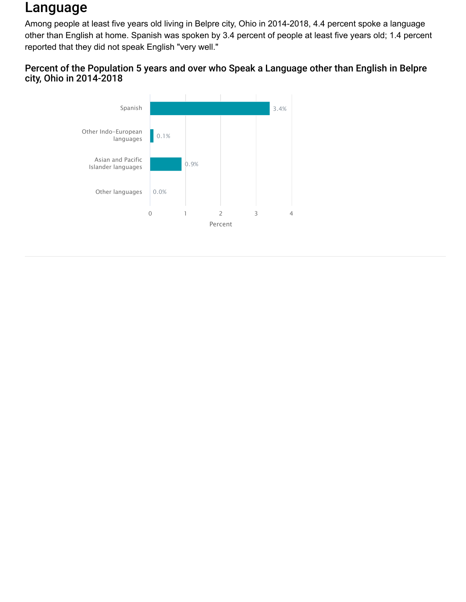## Language

Among people at least five years old living in Belpre city, Ohio in 2014-2018, 4.4 percent spoke a language other than English at home. Spanish was spoken by 3.4 percent of people at least five years old; 1.4 percent reported that they did not speak English "very well."

#### Percent of the Population 5 years and over who Speak a Language other than English in Belpre city, Ohio in 2014-2018

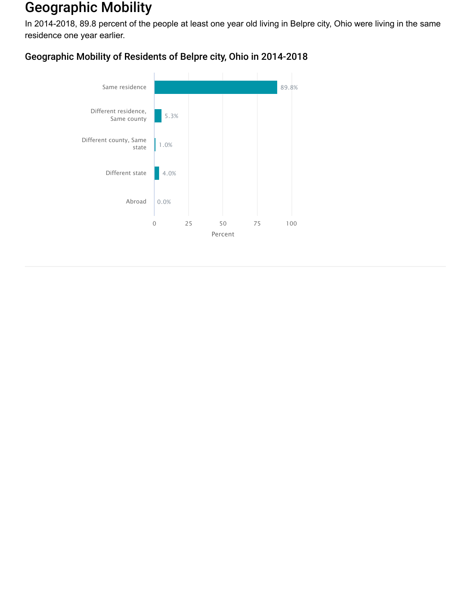## Geographic Mobility

In 2014-2018, 89.8 percent of the people at least one year old living in Belpre city, Ohio were living in the same residence one year earlier.

#### Geographic Mobility of Residents of Belpre city, Ohio in 2014-2018

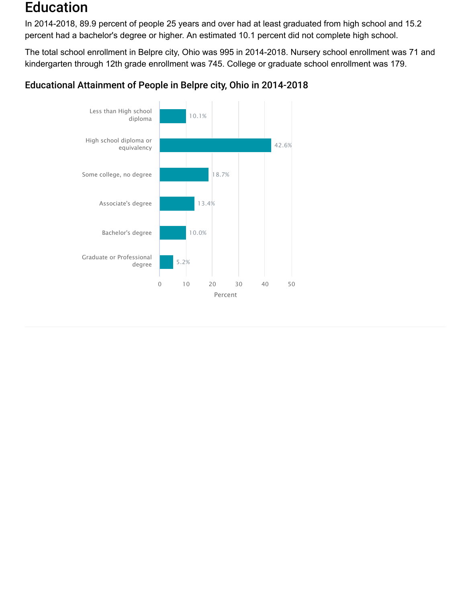## Education

In 2014-2018, 89.9 percent of people 25 years and over had at least graduated from high school and 15.2 percent had a bachelor's degree or higher. An estimated 10.1 percent did not complete high school.

The total school enrollment in Belpre city, Ohio was 995 in 2014-2018. Nursery school enrollment was 71 and kindergarten through 12th grade enrollment was 745. College or graduate school enrollment was 179.

#### Educational Attainment of People in Belpre city, Ohio in 2014-2018

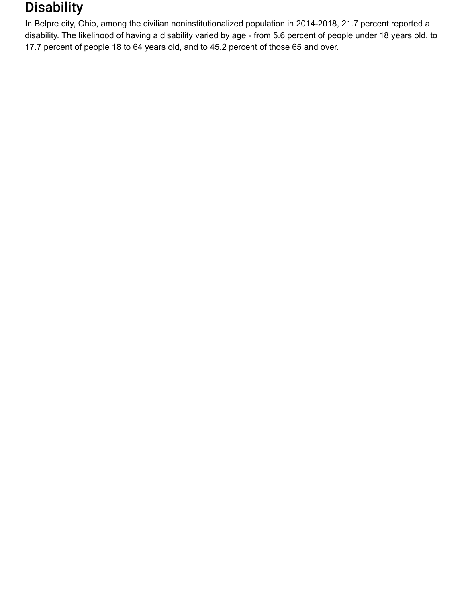## **Disability**

In Belpre city, Ohio, among the civilian noninstitutionalized population in 2014-2018, 21.7 percent reported a disability. The likelihood of having a disability varied by age - from 5.6 percent of people under 18 years old, to 17.7 percent of people 18 to 64 years old, and to 45.2 percent of those 65 and over.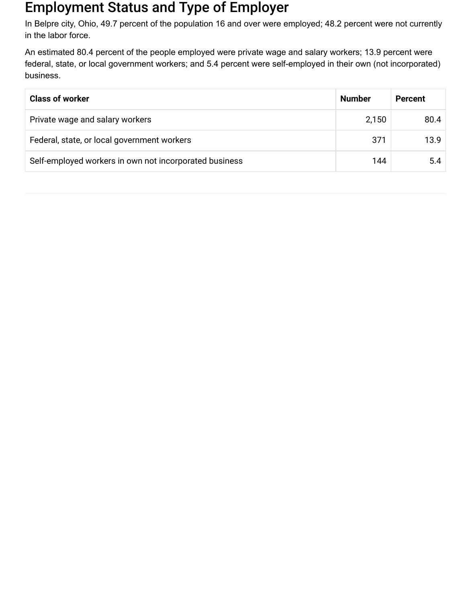## Employment Status and Type of Employer

In Belpre city, Ohio, 49.7 percent of the population 16 and over were employed; 48.2 percent were not currently in the labor force.

An estimated 80.4 percent of the people employed were private wage and salary workers; 13.9 percent were federal, state, or local government workers; and 5.4 percent were self-employed in their own (not incorporated) business.

| <b>Class of worker</b>                                 | <b>Number</b> | <b>Percent</b> |
|--------------------------------------------------------|---------------|----------------|
| Private wage and salary workers                        | 2,150         | 80.4           |
| Federal, state, or local government workers            | 371           | 13.9           |
| Self-employed workers in own not incorporated business | 144           | 5.4            |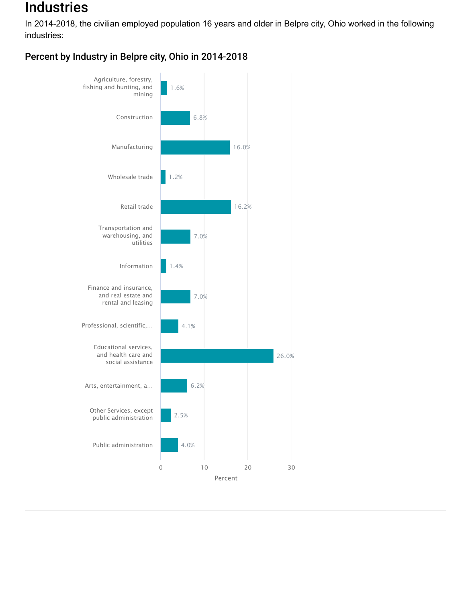## **Industries**

In 2014-2018, the civilian employed population 16 years and older in Belpre city, Ohio worked in the following industries:

Percent by Industry in Belpre city, Ohio in 2014-2018

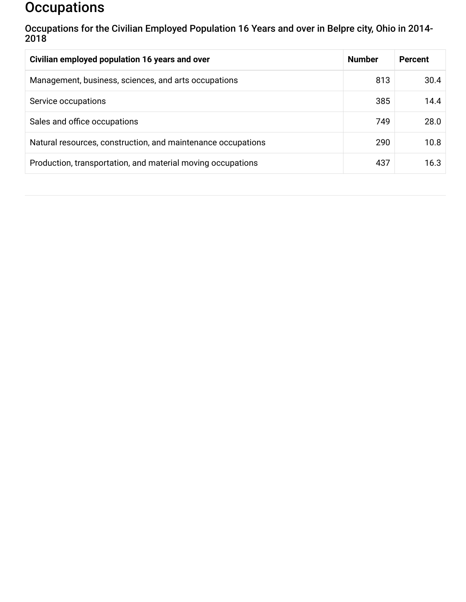## **Occupations**

Occupations for the Civilian Employed Population 16 Years and over in Belpre city, Ohio in 2014- 2018

| Civilian employed population 16 years and over               | <b>Number</b> | <b>Percent</b> |
|--------------------------------------------------------------|---------------|----------------|
| Management, business, sciences, and arts occupations         | 813           | 30.4           |
| Service occupations                                          | 385           | 14.4           |
| Sales and office occupations                                 | 749           | 28.0           |
| Natural resources, construction, and maintenance occupations | 290           | 10.8           |
| Production, transportation, and material moving occupations  | 437           | 16.3           |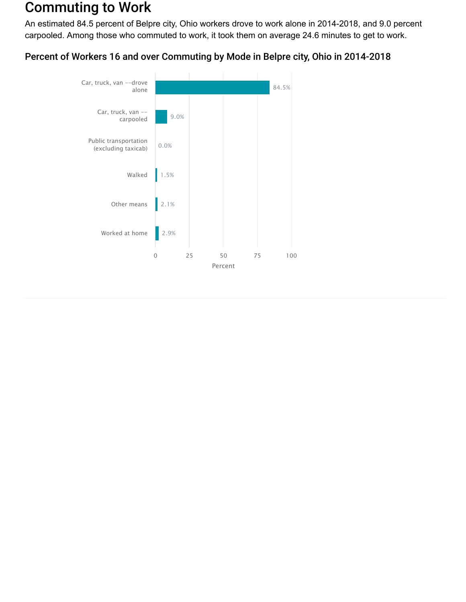## Commuting to Work

An estimated 84.5 percent of Belpre city, Ohio workers drove to work alone in 2014-2018, and 9.0 percent carpooled. Among those who commuted to work, it took them on average 24.6 minutes to get to work.

#### Percent of Workers 16 and over Commuting by Mode in Belpre city, Ohio in 2014-2018

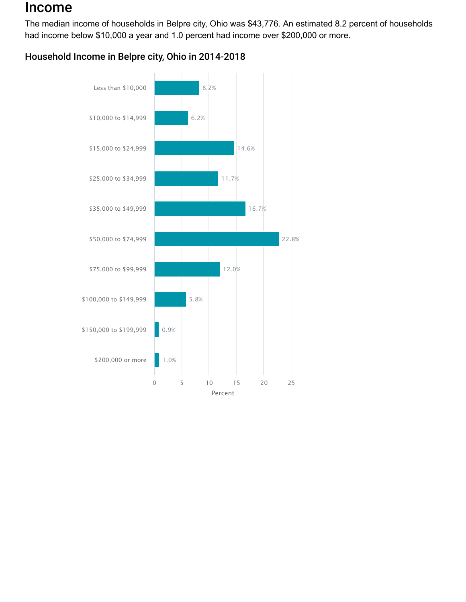## Income

The median income of households in Belpre city, Ohio was \$43,776. An estimated 8.2 percent of households had income below \$10,000 a year and 1.0 percent had income over \$200,000 or more.

#### Household Income in Belpre city, Ohio in 2014-2018

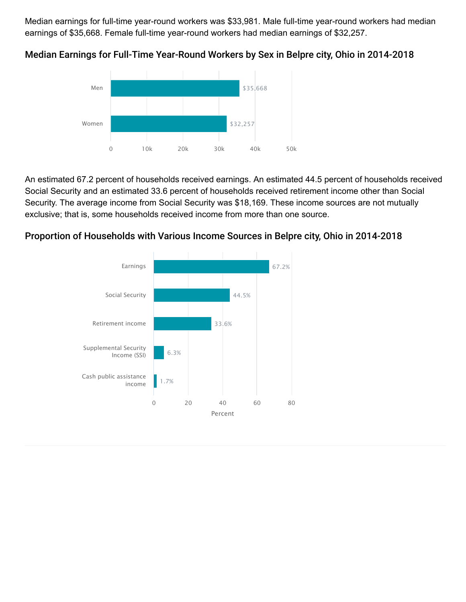Median earnings for full-time year-round workers was \$33,981. Male full-time year-round workers had median earnings of \$35,668. Female full-time year-round workers had median earnings of \$32,257.



Median Earnings for Full-Time Year-Round Workers by Sex in Belpre city, Ohio in 2014-2018

An estimated 67.2 percent of households received earnings. An estimated 44.5 percent of households received Social Security and an estimated 33.6 percent of households received retirement income other than Social Security. The average income from Social Security was \$18,169. These income sources are not mutually exclusive; that is, some households received income from more than one source.



#### Proportion of Households with Various Income Sources in Belpre city, Ohio in 2014-2018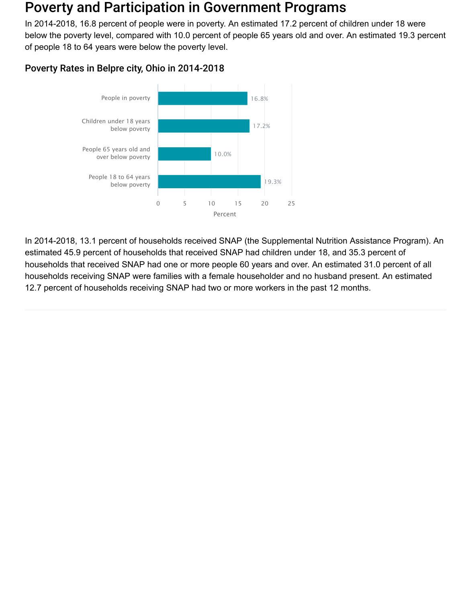### Poverty and Participation in Government Programs

In 2014-2018, 16.8 percent of people were in poverty. An estimated 17.2 percent of children under 18 were below the poverty level, compared with 10.0 percent of people 65 years old and over. An estimated 19.3 percent of people 18 to 64 years were below the poverty level.

#### Poverty Rates in Belpre city, Ohio in 2014-2018



In 2014-2018, 13.1 percent of households received SNAP (the Supplemental Nutrition Assistance Program). An estimated 45.9 percent of households that received SNAP had children under 18, and 35.3 percent of households that received SNAP had one or more people 60 years and over. An estimated 31.0 percent of all households receiving SNAP were families with a female householder and no husband present. An estimated 12.7 percent of households receiving SNAP had two or more workers in the past 12 months.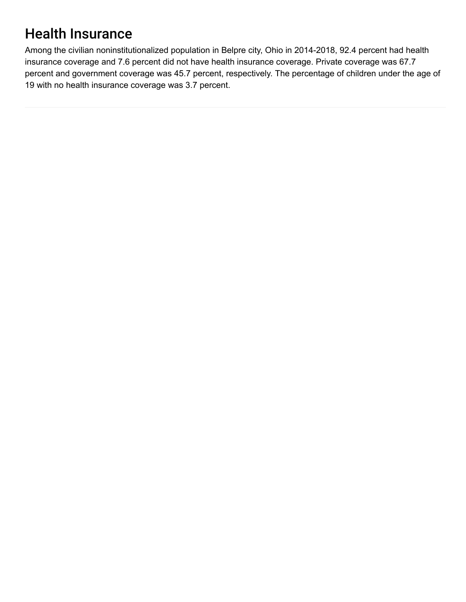# Health Insurance

Among the civilian noninstitutionalized population in Belpre city, Ohio in 2014-2018, 92.4 percent had health insurance coverage and 7.6 percent did not have health insurance coverage. Private coverage was 67.7 percent and government coverage was 45.7 percent, respectively. The percentage of children under the age of 19 with no health insurance coverage was 3.7 percent.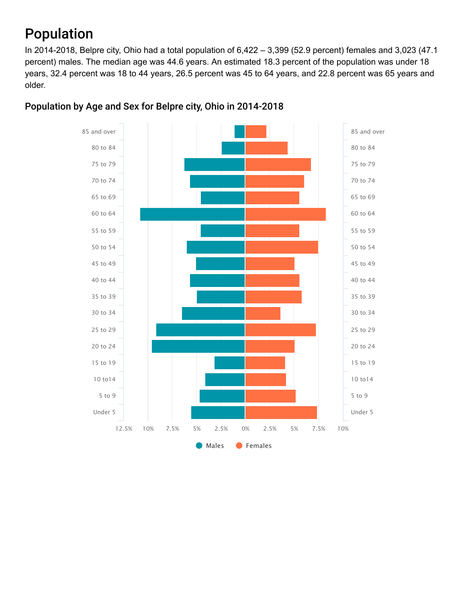# Population

In 2014-2018, Belpre city, Ohio had a total population of 6,422 – 3,399 (52.9 percent) females and 3,023 (47.1 percent) males. The median age was 44.6 years. An estimated 18.3 percent of the population was under 18 years, 32.4 percent was 18 to 44 years, 26.5 percent was 45 to 64 years, and 22.8 percent was 65 years and older.



#### Population by Age and Sex for Belpre city, Ohio in 2014-2018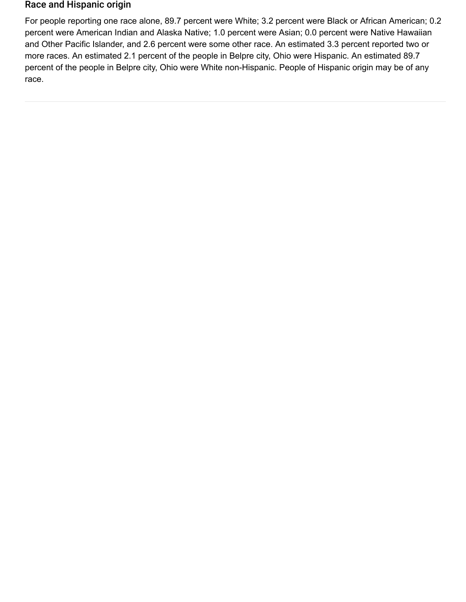#### Race and Hispanic origin

For people reporting one race alone, 89.7 percent were White; 3.2 percent were Black or African American; 0.2 percent were American Indian and Alaska Native; 1.0 percent were Asian; 0.0 percent were Native Hawaiian and Other Pacific Islander, and 2.6 percent were some other race. An estimated 3.3 percent reported two or more races. An estimated 2.1 percent of the people in Belpre city, Ohio were Hispanic. An estimated 89.7 percent of the people in Belpre city, Ohio were White non-Hispanic. People of Hispanic origin may be of any race.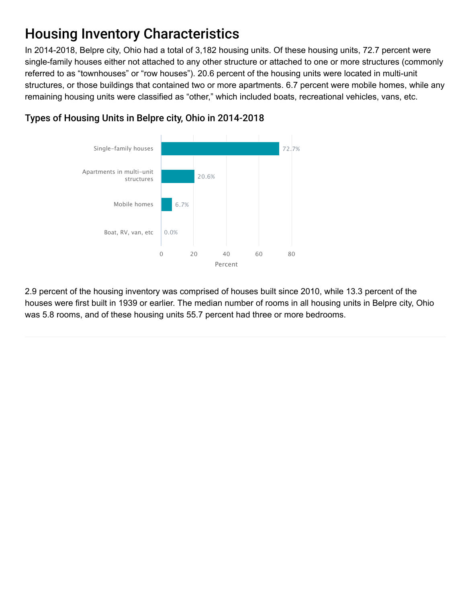# Housing Inventory Characteristics

In 2014-2018, Belpre city, Ohio had a total of 3,182 housing units. Of these housing units, 72.7 percent were single-family houses either not attached to any other structure or attached to one or more structures (commonly referred to as "townhouses" or "row houses"). 20.6 percent of the housing units were located in multi-unit structures, or those buildings that contained two or more apartments. 6.7 percent were mobile homes, while any remaining housing units were classified as "other," which included boats, recreational vehicles, vans, etc.



#### Types of Housing Units in Belpre city, Ohio in 2014-2018

2.9 percent of the housing inventory was comprised of houses built since 2010, while 13.3 percent of the houses were first built in 1939 or earlier. The median number of rooms in all housing units in Belpre city, Ohio was 5.8 rooms, and of these housing units 55.7 percent had three or more bedrooms.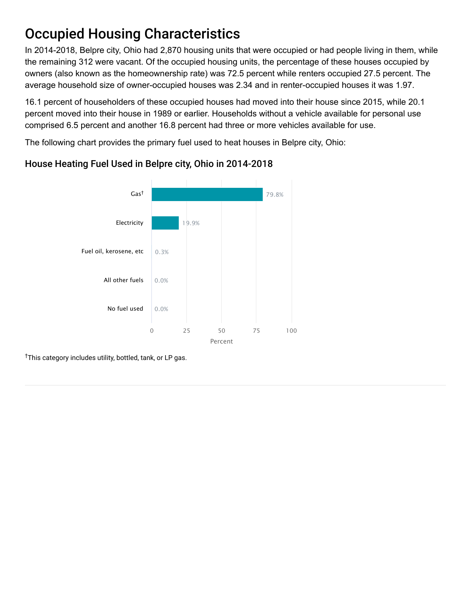# Occupied Housing Characteristics

In 2014-2018, Belpre city, Ohio had 2,870 housing units that were occupied or had people living in them, while the remaining 312 were vacant. Of the occupied housing units, the percentage of these houses occupied by owners (also known as the homeownership rate) was 72.5 percent while renters occupied 27.5 percent. The average household size of owner-occupied houses was 2.34 and in renter-occupied houses it was 1.97.

16.1 percent of householders of these occupied houses had moved into their house since 2015, while 20.1 percent moved into their house in 1989 or earlier. Households without a vehicle available for personal use comprised 6.5 percent and another 16.8 percent had three or more vehicles available for use.

The following chart provides the primary fuel used to heat houses in Belpre city, Ohio:



#### House Heating Fuel Used in Belpre city, Ohio in 2014-2018

<sup>†</sup>This category includes utility, bottled, tank, or LP gas.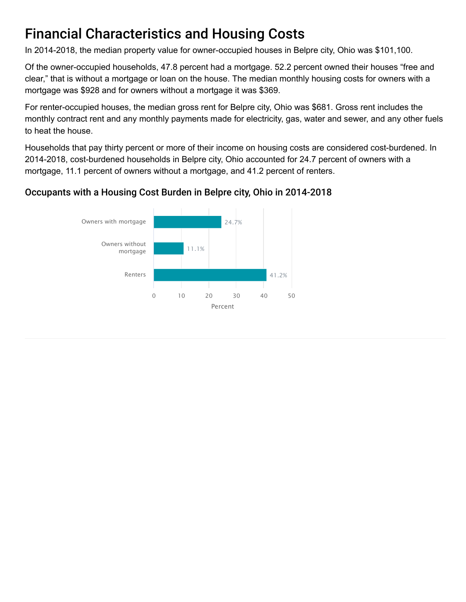# Financial Characteristics and Housing Costs

In 2014-2018, the median property value for owner-occupied houses in Belpre city, Ohio was \$101,100.

Of the owner-occupied households, 47.8 percent had a mortgage. 52.2 percent owned their houses "free and clear," that is without a mortgage or loan on the house. The median monthly housing costs for owners with a mortgage was \$928 and for owners without a mortgage it was \$369.

For renter-occupied houses, the median gross rent for Belpre city, Ohio was \$681. Gross rent includes the monthly contract rent and any monthly payments made for electricity, gas, water and sewer, and any other fuels to heat the house.

Households that pay thirty percent or more of their income on housing costs are considered cost-burdened. In 2014-2018, cost-burdened households in Belpre city, Ohio accounted for 24.7 percent of owners with a mortgage, 11.1 percent of owners without a mortgage, and 41.2 percent of renters.

#### Occupants with a Housing Cost Burden in Belpre city, Ohio in 2014-2018

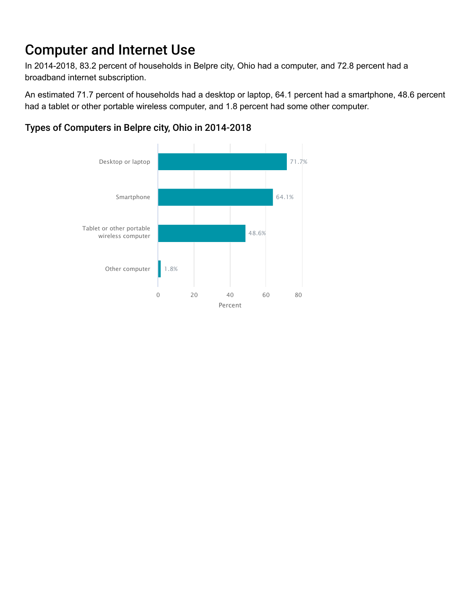# Computer and Internet Use

In 2014-2018, 83.2 percent of households in Belpre city, Ohio had a computer, and 72.8 percent had a broadband internet subscription.

An estimated 71.7 percent of households had a desktop or laptop, 64.1 percent had a smartphone, 48.6 percent had a tablet or other portable wireless computer, and 1.8 percent had some other computer.

# Types of Computers in Belpre city, Ohio in 2014-2018